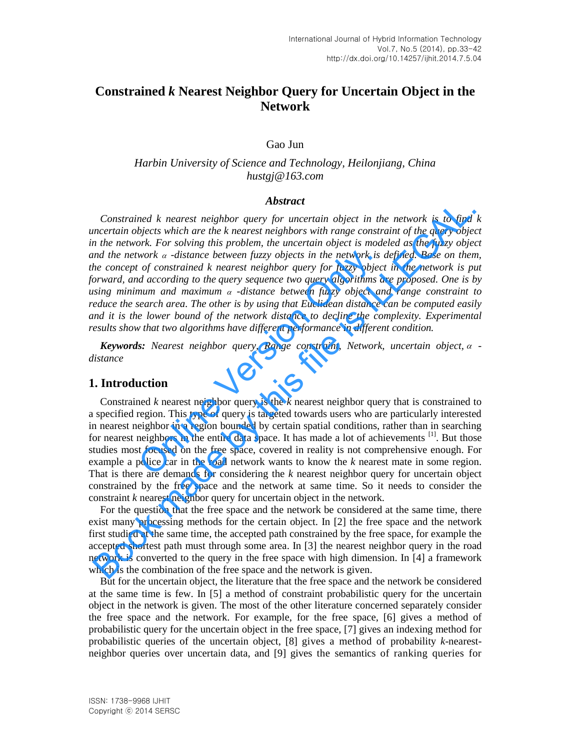# **Constrained** *k* **Nearest Neighbor Query for Uncertain Object in the Network**

Gao Jun

## *Harbin University of Science and Technology, Heilonjiang, China hustgj@163.com*

#### *Abstract*

*Constrained k nearest neighbor query for uncertain object in the network is to find k uncertain objects which are the k nearest neighbors with range constraint of the query object in the network. For solving this problem, the uncertain object is modeled as the fuzzy object*  and the network  $\alpha$  -distance between fuzzy objects in the network is defined. Base on them, *the concept of constrained k nearest neighbor query for fuzzy object in the network is put forward, and according to the query sequence two query algorithms are proposed. One is by using minimum and maximum -distance between fuzzy object and range constraint to reduce the search area. The other is by using that Euclidean distance can be computed easily and it is the lower bound of the network distance to decline the complexity. Experimental results show that two algorithms have different performance in different condition.*  work  $\alpha$  -distance between fuzzy objects in the network is<br>
of constrained k nearest neighbor query for fuzzy object<br>
d according to the query sequence two query algorithms a<br>
num and maximum  $\alpha$  -distance between fuzzy **CONSTRAINE A THE ASSAMPLE (CONSTRANCE)**<br>CONSTRAINED AND CONSTRANCE CONSULTED (more traction objects which are the k nearest neighbors with range constraint of the query objects and the network. For solving this problem,

*Keywords: Nearest neighbor query, Range constraint, Network, uncertain object, distance* 

## **1. Introduction**

Constrained *k* nearest neighbor query is the *k* nearest neighbor query that is constrained to a specified region. This type of query is targeted towards users who are particularly interested in nearest neighbor in a region bounded by certain spatial conditions, rather than in searching for nearest neighbors in the entire data space. It has made a lot of achievements  $^{[1]}$ . But those studies most focused on the free space, covered in reality is not comprehensive enough. For example a police car in the road network wants to know the *k* nearest mate in some region. That is there are demands for considering the *k* nearest neighbor query for uncertain object constrained by the free space and the network at same time. So it needs to consider the constraint *k* nearest neighbor query for uncertain object in the network.

For the question that the free space and the network be considered at the same time, there exist many processing methods for the certain object. In [2] the free space and the network first studied at the same time, the accepted path constrained by the free space, for example the accepted shortest path must through some area. In [3] the nearest neighbor query in the road network is converted to the query in the free space with high dimension. In [4] a framework which is the combination of the free space and the network is given.

But for the uncertain object, the literature that the free space and the network be considered at the same time is few. In [5] a method of constraint probabilistic query for the uncertain object in the network is given. The most of the other literature concerned separately consider the free space and the network. For example, for the free space, [6] gives a method of probabilistic query for the uncertain object in the free space, [7] gives an indexing method for probabilistic queries of the uncertain object, [8] gives a method of probability *k*-nearestneighbor queries over uncertain data, and [9] gives the semantics of ranking queries for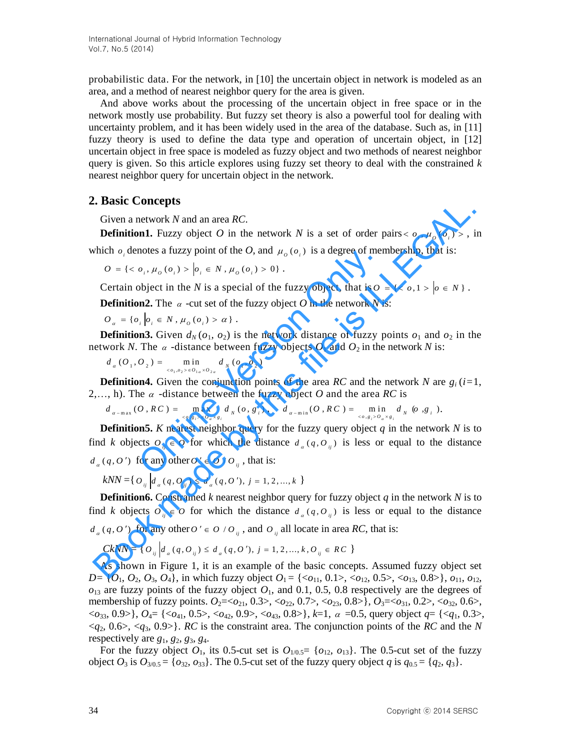probabilistic data. For the network, in [10] the uncertain object in network is modeled as an area, and a method of nearest neighbor query for the area is given.

And above works about the processing of the uncertain object in free space or in the network mostly use probability. But fuzzy set theory is also a powerful tool for dealing with uncertainty problem, and it has been widely used in the area of the database. Such as, in [11] fuzzy theory is used to define the data type and operation of uncertain object, in [12] uncertain object in free space is modeled as fuzzy object and two methods of nearest neighbor query is given. So this article explores using fuzzy set theory to deal with the constrained *k* nearest neighbor query for uncertain object in the network.

## **2. Basic Concepts**

Given a network *N* and an area *RC*.

**Definition1.** Fuzzy object O in the network N is a set of order pairs  $\langle o_i, \mu_o(o_i) \rangle$ , in which  $o_i$  denotes a fuzzy point of the *O*, and  $\mu_o(o_i)$  is a degree of membership, that is:<br>  $O = \{ \langle o_i, \mu_o(o_i) \rangle | o_i \in N, \mu_o(o_i) > 0 \}.$ 

$$
O = \{ \langle o_i, \mu_o(o_i) \rangle | o_i \in N, \mu_o(o_i) > 0 \}.
$$

Certain object in the *N* is a special of the fuzzy object, that is  $0 = \{ \langle o, 1 \rangle | o \in N \}$ .

**Definition2.** The  $\alpha$  -cut set of the fuzzy object *O* in the network *N* is:

 ${ O}_\alpha = \{o_i \mid o_i \in N, \mu_o(o_i) > \alpha \}$ .

**Definition3.** Given  $d_N$  ( $o_1$ ,  $o_2$ ) is the network distance of fuzzy points  $o_1$  and  $o_2$  in the network *N*. The  $\alpha$  -distance between fuzzy objects  $O_1$  and  $O_2$  in the network *N* is:<br>  $d_{\alpha}(O_1, O_2) = \min_{\alpha} d_{\alpha}(O_1, O_2)$ 

$$
d_{\alpha}(O_1, O_2) = \min_{(o_1, o_2) \in O_{1\alpha} \times O_{2\alpha}} d_{N}(o_1, o_2)
$$

**Definition4.** Given the conjunction points of the area *RC* and the network *N* are  $g_i$  ( $i=1$ ,

2,..., h). The 
$$
\alpha
$$
 -distance between the fuzzy object *O* and the area *RC* is  
\n
$$
d_{\alpha-\max}(O, RC) = \max_{\langle o, g_i \rangle \in O_{\alpha} \times g_i} d_N(o, g_i), \quad d_{\alpha-\min}(O, RC) = \min_{\langle o, g_i \rangle \in O_{\alpha} \times g_i} d_N(o, g_i).
$$

**Definition5.** *K* nearest neighbor query for the fuzzy query object  $q$  in the network  $N$  is to find *k* objects  $O_{ij} \in O$  for which the distance  $d_a(q, O_{ij})$  is less or equal to the distance  $d_a(q, 0')$  for any other  $O' \in O/O_{ij}$ , that is: notes a ruzzy point of the *O*, and  $\mu_o$  ( $o_i$ ) is a degree of mer<br>  $o_i$ ,  $\mu_o$  ( $o_i$ ) >  $|o_i \in N$ ,  $\mu_o$  ( $o_i$ ) > 0}.<br>
bbject in the *N* is a special of the fuzzy object, that is *O*<br> **nn2.** The  $\alpha$  -cut set of the fuzz **Concerned By the matrix of the network** N is a set of order pairs  $\varepsilon$   $a_1$ ,  $\mu_o(a_1)$  >, it is included by the *n* a network N and an area *RC*.<br> **Oncernal modes a filzzy point of the** *O***, and**  $\mu_o(a_1)$  **is a degree of** 

$$
kNN = \left\{ \left. O_{ij} \right| d_a (q, O_{ij}) \leq d_a (q, O'), j = 1, 2, ..., k \right\}
$$

**Definition6.** Constrained *k* nearest neighbor query for fuzzy object  $q$  in the network  $N$  is to find *k* objects  $O_{ij} \in O$  for which the distance  $d_a(q, O_{ij})$  is less or equal to the distance

$$
d_{\alpha}(q, O') \text{ for any other } O' \in O / O_{ij}, \text{ and } O_{ij} \text{ all locate in area } RC, \text{ that is:}
$$
  

$$
CkNN = \{O_{ij} | d_{\alpha}(q, O_{ij}) \leq d_{\alpha}(q, O'), j = 1, 2, ..., k, O_{ij} \in RC \}
$$

As shown in Figure 1, it is an example of the basic concepts. Assumed fuzzy object set *D*= { $O_1$ ,  $O_2$ ,  $O_3$ ,  $O_4$ }, in which fuzzy object  $O_1 = \{ \langle o_{11}, 0.1 \rangle, \langle o_{12}, 0.5 \rangle, \langle o_{13}, 0.8 \rangle \}$ ,  $o_{11}$ ,  $o_{12}$ ,  $o_{13}$  are fuzzy points of the fuzzy object  $O_1$ , and 0.1, 0.5, 0.8 respectively are the degrees of membership of fuzzy points. *O*2=<*o*21, 0.3>, <*o*22, 0.7>, <*o*23, 0.8>}, *O*3=<*o*31, 0.2>, <*o*32, 0.6>, <*o*33, 0.9>}, *O*4= {<*o*41, 0.5>, <*o*42, 0.9>, <*o*43, 0.8>}, *k*=1, =0.5, query object *q*= {<*q*1, 0.3>,  $\langle q_2, 0.6 \rangle, \langle q_3, 0.9 \rangle$ . *RC* is the constraint area. The conjunction points of the *RC* and the *N* respectively are *g*1, *g*2, *g*3, *g*4.

For the fuzzy object  $O_1$ , its 0.5-cut set is  $O_{1/0.5}$  = { $O_{12}$ ,  $O_{13}$ }. The 0.5-cut set of the fuzzy object  $O_3$  is  $O_{3/0.5} = \{o_{32}, o_{33}\}\$ . The 0.5-cut set of the fuzzy query object *q* is  $q_{0.5} = \{q_2, q_3\}$ .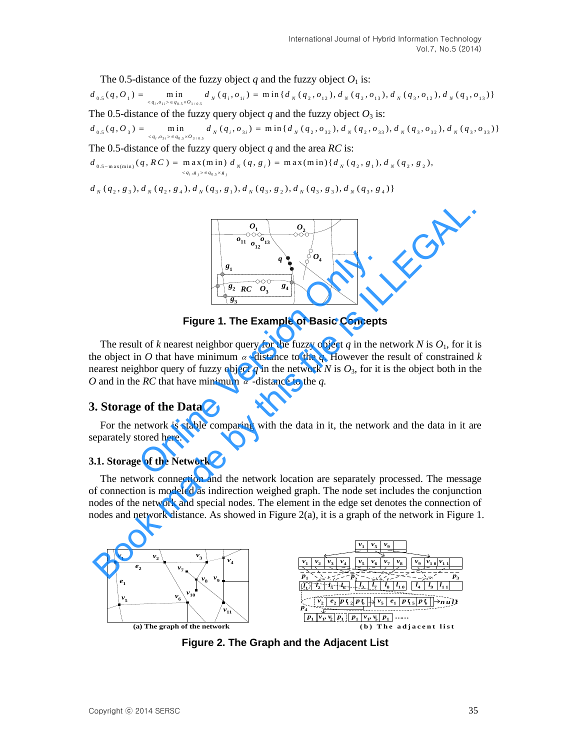The 0.5-distance of the fuzzy object *q* and the fuzzy object  $O_1$  is:

The 0.5-distance of the fuzzy object q and the fuzzy object  $O_1$  is:<br>  $d_{0.5}(q, O_1) = \min_{\{q_1, o_{11} > \in q_{0.5} \times O_{1/0.5}} d_N(q_1, o_{1i}) = \min\{d_N(q_2, o_{12}), d_N(q_2, o_{13}), d_N(q_3, o_{12}), d_N(q_3, o_{13})\}$ The 0.5-distance of the fuzzy query object  $q$  and the fuzzy object  $O_3$  is:  $d_{0.5}(q, O_1) = \min_{q_i, o_{1i} > \in q_{0.5} \times O_{1/0.5}} d_N(q_i, o_{1i}) = \min \{ d_N(q_2, o_{12}), d_N(q_2, o_{13}), d_N(q_3, o_{12}), d_N(q_3, o_{13}) \}$ <br>
The 0.5-distance of the fuzzy query object q and the fuzzy object  $O_3$  is:<br>  $d_{0.5}(q, O_3) = \min_{q_i, o_{3i} > \in q_{0.5} \times$ The 0.5-distance of the fuzzy query object *q* and the area *RC* is:<br>  $d_{0.5-\text{max(min)}}(q, RC) = \max(\text{min}) d_N(q, g_i) = \max(\text{min}) {d_N(q_2, g_1), d_N(q_2, g_2)}$  $\int_{a_0, s}^{a_0} (q, b_3) = \lim_{q_i, a_{3i} > a_{3i} \leq a_{0, s} \times b_{3i} \leq a} \frac{m!}{a_0} \int_{a_0}^{a_0} (q_i, b_3) = m! \int_{a_0}^{a_0} (q_2, b_3) \int_{a_0}^{a_0} (q_2, b_3) \int_{a_0}^{a_0} (q_3, b_3)$ <br>
The 0.5-distance of the fuzzy query object q and the area *RC* 

$$
d_{0.5-\max(\min)}(q, RC) = \max_{\{q_1, g_1\} \in q_{0.5} \times g_1} d_N(q, g_1) = \max(\min) \{d_N(q_2, g_1), d_N(q_2, g_2)\}
$$
  

$$
d_N(q_2, g_3), d_N(q_2, g_4), d_N(q_3, g_1), d_N(q_3, g_2), d_N(q_3, g_3), d_N(q_3, g_4)\}
$$



**Figure 1. The Example of Basic Concepts** 

The result of *k* nearest neighbor query for the fuzzy object *q* in the network *N* is  $O<sub>1</sub>$ , for it is the object in O that have minimum  $\alpha$  -distance to the  $q$ . However the result of constrained k nearest neighbor query of fuzzy object  $q$  in the network  $N$  is  $O_3$ , for it is the object both in the *O* and in the *RC* that have minimum  $\alpha$  -distance to the *q*. **Example of Basic Concepts**<br> **Eigure 1. The Example of Basic Concepts**<br>
It of k nearest neighbor query for the fuzzy object q in the n<br>
n O that have minimum  $\alpha$  -distance to the q. However the<br>
concepts of the Data<br>
exa Book made by the **Example of Basic Concepts**<br>
Figure 1. The **Example of Basic Concepts**<br>
The result of *k* nearest neighbor query of the **Example of Basic Concepts**<br>
The result of *k* nearest neighbor query of the particu

## **3. Storage of the Data**

For the network is stable comparing with the data in it, the network and the data in it are separately stored here.

## **3.1. Storage of the Network**

The network connection and the network location are separately processed. The message of connection is modeled as indirection weighed graph. The node set includes the conjunction nodes of the network and special nodes. The element in the edge set denotes the connection of nodes and network distance. As showed in Figure 2(a), it is a graph of the network in Figure 1.



**Figure 2. The Graph and the Adjacent List**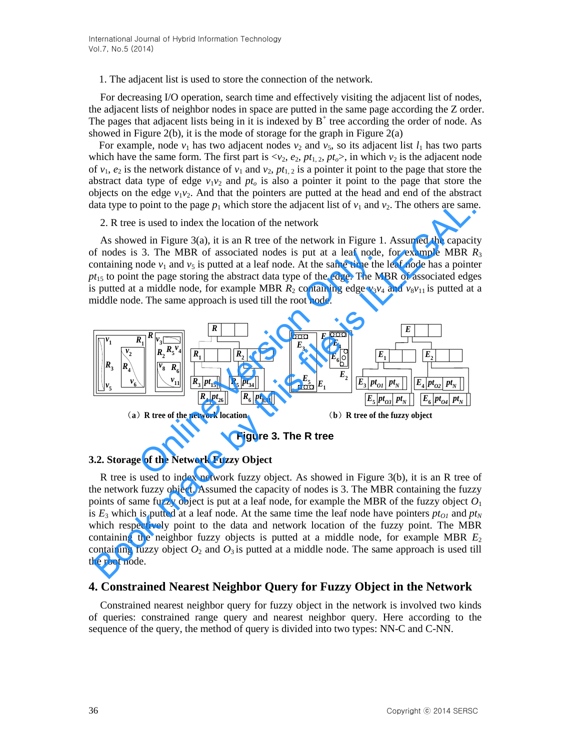1. The adjacent list is used to store the connection of the network.

For decreasing I/O operation, search time and effectively visiting the adjacent list of nodes, the adjacent lists of neighbor nodes in space are putted in the same page according the Z order. The pages that adjacent lists being in it is indexed by  $B^+$  tree according the order of node. As showed in Figure 2(b), it is the mode of storage for the graph in Figure  $2(a)$ 

For example, node  $v_1$  has two adjacent nodes  $v_2$  and  $v_5$ , so its adjacent list  $l_1$  has two parts which have the same form. The first part is  $\langle v_2, e_2, pt_1, 2, pt_0 \rangle$ , in which  $v_2$  is the adjacent node of  $v_1$ ,  $e_2$  is the network distance of  $v_1$  and  $v_2$ ,  $pt_{1,2}$  is a pointer it point to the page that store the abstract data type of edge  $v_1v_2$  and  $pt_o$  is also a pointer it point to the page that store the objects on the edge  $v_1v_2$ . And that the pointers are putted at the head and end of the abstract data type to point to the page  $p_1$  which store the adjacent list of  $v_1$  and  $v_2$ . The others are same.

2. R tree is used to index the location of the network

As showed in Figure 3(a), it is an R tree of the network in Figure 1. Assumed the capacity of nodes is 3. The MBR of associated nodes is put at a leaf node, for example MBR  $R_3$ containing node  $v_1$  and  $v_5$  is putted at a leaf node. At the same time the leaf node has a pointer  $pt_{15}$  to point the page storing the abstract data type of the edge. The MBR of associated edges is putted at a middle node, for example MBR  $R_2$  containing edge  $v_3v_4$  and  $v_8v_{11}$  is putted at a middle node. The same approach is used till the root node.



**Figure 3. The R tree** 

## **3.2. Storage of the Network Fuzzy Object**

R tree is used to index network fuzzy object. As showed in Figure 3(b), it is an R tree of the network fuzzy object. Assumed the capacity of nodes is 3. The MBR containing the fuzzy points of same fuzzy object is put at a leaf node, for example the MBR of the fuzzy object  $O<sub>1</sub>$ is  $E_3$  which is putted at a leaf node. At the same time the leaf node have pointers  $pt_{01}$  and  $pt_N$ which respectively point to the data and network location of the fuzzy point. The MBR containing the neighbor fuzzy objects is putted at a middle node, for example MBR  $E_2$ containing fuzzy object  $O_2$  and  $O_3$  is putted at a middle node. The same approach is used till the root node.

## **4. Constrained Nearest Neighbor Query for Fuzzy Object in the Network**

Constrained nearest neighbor query for fuzzy object in the network is involved two kinds of queries: constrained range query and nearest neighbor query. Here according to the sequence of the query, the method of query is divided into two types: NN-C and C-NN.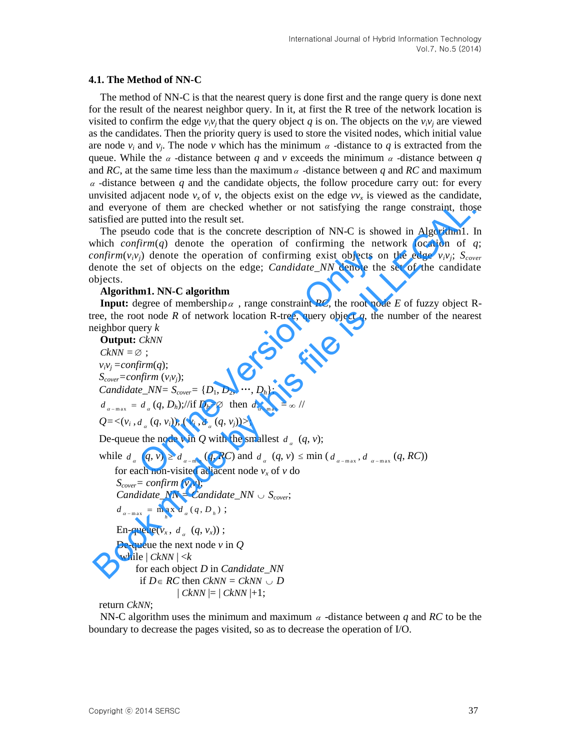#### **4.1. The Method of NN-C**

The method of NN-C is that the nearest query is done first and the range query is done next for the result of the nearest neighbor query. In it, at first the R tree of the network location is visited to confirm the edge  $v_i v_j$  that the query object q is on. The objects on the  $v_i v_j$  are viewed as the candidates. Then the priority query is used to store the visited nodes, which initial value are node  $v_i$  and  $v_j$ . The node *v* which has the minimum  $\alpha$  -distance to  $q$  is extracted from the queue. While the  $\alpha$  -distance between  $q$  and  $\nu$  exceeds the minimum  $\alpha$  -distance between  $q$ and RC, at the same time less than the maximum  $\alpha$  -distance between q and RC and maximum  $\alpha$  -distance between  $q$  and the candidate objects, the follow procedure carry out: for every unvisited adjacent node  $v_x$  of  $v$ , the objects exist on the edge  $vv_x$  is viewed as the candidate, and everyone of them are checked whether or not satisfying the range constraint, those satisfied are putted into the result set.

The pseudo code that is the concrete description of NN-C is showed in Algorithm1. In which *confirm*(*q*) denote the operation of confirming the network location of *q*; *confirm*( $v_i v_j$ ) denote the operation of confirming exist objects on the edge  $v_i v_j$ ;  $S_{cover}$ denote the set of objects on the edge; *Candidate\_NN* denote the set of the candidate objects.

#### **Algorithm1. NN-C algorithm**

**Input:** degree of membership  $\alpha$ , range constraint *RC*, the root node *E* of fuzzy object Rtree, the root node  $R$  of network location R-tree, query object  $q$ , the number of the nearest neighbor query *k*

**Output:** *CkNN CkNN =* ;  $v_i v_i = \text{confirm}(q);$ *S*<sup>*cover*</sup></sub>*=confirm*  $(v_i v_j)$ ; *Candidate\_NN=*  $S_{cover} = \{D_1, D_2, ..., D_h\};$  $d_{a-\max} = d_a (q, D_h)$ ;//if  $D_h = \emptyset$  then  $d_{a-\max} = \infty$ //  $Q = \langle (v_i, d_a(q, v_i)), (v_j, d_a(q, v_j)) \rangle;$ De-queue the node  $v$  in  $Q$  with the smallest  $d_a$   $(q, v)$ ; while  $d_a$   $(q, v) \geq d_{a-\text{min}}(q, RC)$  and  $d_a$   $(q, v) \leq \min(d_{a-\text{max}}, d_{a-\text{max}}(q, RC))$ for each non-visited adjacent node  $v_x$  of  $v$  do  $S_{cover} = confirm (v_x v);$  *Candidate\_NN = Candidate\_NN Scover*;  $d_{\alpha - \max} = \max_{h} d_{\alpha} (q, D_{h})$ ; En-queue( $v_x$ ,  $d_a$  ( $q$ ,  $v_x$ )); De-queue the next node *v* in *Q*  while  $| CkNN | < k$ for each object *D* in *Candidate\_NN*  if  $D \in RC$  then  $CkNN = CkNN \cup D$  $| CkNN | = | CkNN | +1;$ (*j*) denote the operation of confirming exist objects of set of objects on the edge; *Candidate\_NN* denote the **m1.** NN-C algorithm<br>
egree of membership  $\alpha$ , range constraint RC, the root not not not not not not not not and everyone of them are checked whether or not satisfying the range constraint, those<br>
districted into the result set.<br>
The pseudo code that is the concrete description of NN-C is showed in Algorithm1. I<br>
which confirmin

return *CkNN*;

NN-C algorithm uses the minimum and maximum  $\alpha$  -distance between  $q$  and RC to be the boundary to decrease the pages visited, so as to decrease the operation of I/O.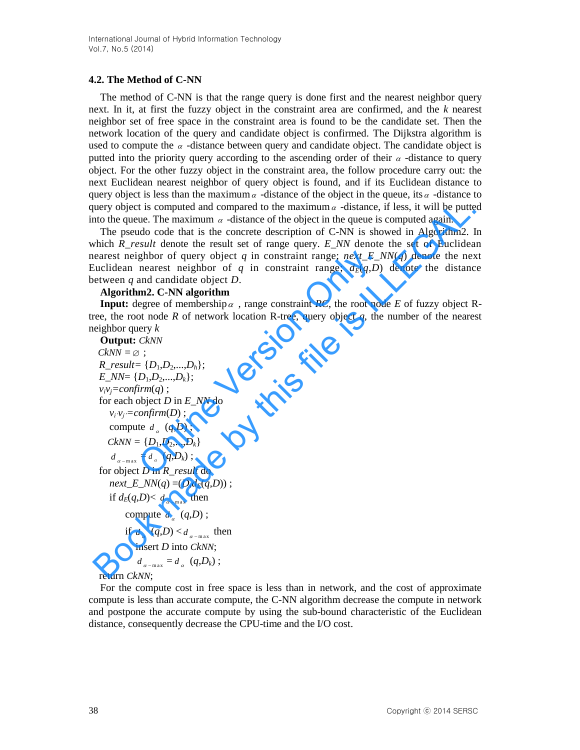## **4.2. The Method of C-NN**

The method of C-NN is that the range query is done first and the nearest neighbor query next. In it, at first the fuzzy object in the constraint area are confirmed, and the *k* nearest neighbor set of free space in the constraint area is found to be the candidate set. Then the network location of the query and candidate object is confirmed. The Dijkstra algorithm is used to compute the  $\alpha$  -distance between query and candidate object. The candidate object is putted into the priority query according to the ascending order of their  $\alpha$  -distance to query object. For the other fuzzy object in the constraint area, the follow procedure carry out: the next Euclidean nearest neighbor of query object is found, and if its Euclidean distance to query object is less than the maximum  $\alpha$  -distance of the object in the queue, its  $\alpha$  -distance to query object is computed and compared to the maximum  $\alpha$  -distance, if less, it will be putted into the queue. The maximum  $\alpha$  -distance of the object in the queue is computed again.

The pseudo code that is the concrete description of C-NN is showed in Algorithm2. In which *R\_result* denote the result set of range query. *E\_NN* denote the set of Euclidean nearest neighbor of query object *q* in constraint range; *next E\_NN(q)* denote the next Euclidean nearest neighbor of *q* in constraint range;  $d_E(q, D)$  denote the distance between *q* and candidate object *D*.

#### **Algorithm2. C-NN algorithm**

**Input:** degree of membership  $\alpha$ , range constraint *RC*, the root node *E* of fuzzy object Rtree, the root node  $R$  of network location R-tree, query object  $q$ , the number of the nearest neighbor query *k*

```
Output: CkNN 
  CkNN = \emptyset;
  R_result= \{D_1, D_2, ..., D_h\};E_NN= {D1,D2,...,Dk}; 
  v_i v_j = \text{confirm}(q);
  for each object D in E_NN do
      v_i v_j = \text{confirm}(D);
       compute d_a (q,D);
     CkNN = \{D_1, D_2, ..., D_k\}d_{a - max} = d_a (q, D_k);
  for object D in R_result do
      next\_E_NN(q) = (D,d_E(q,D));
       if d_E(q,D) < d_{a-\max} then
             compute d_a (q,D);
             if d_a (q,D) < d_{a-\max} then
                insert D into CkNN;
                  d_{\alpha - \max} = d_{\alpha} (q, D_k);
  return CkNN; 
                  ghbor of query object q in constraint range; next\_E_N<br>nearest neighbor of q in constraint range; d_E(q,D)<br>and candidate object D.<br>m2. C-NN algorithm<br>egree of membership \alpha, range constraint RC, the root noc<br>ot node R of 
query object is computed and compared to the maximum a-distance, if less, it will be putted the putted theorem is adistance of the object in the queue is computed again.<br>The pseudo code that is the concrete description
```
For the compute cost in free space is less than in network, and the cost of approximate compute is less than accurate compute, the C-NN algorithm decrease the compute in network and postpone the accurate compute by using the sub-bound characteristic of the Euclidean distance, consequently decrease the CPU-time and the I/O cost.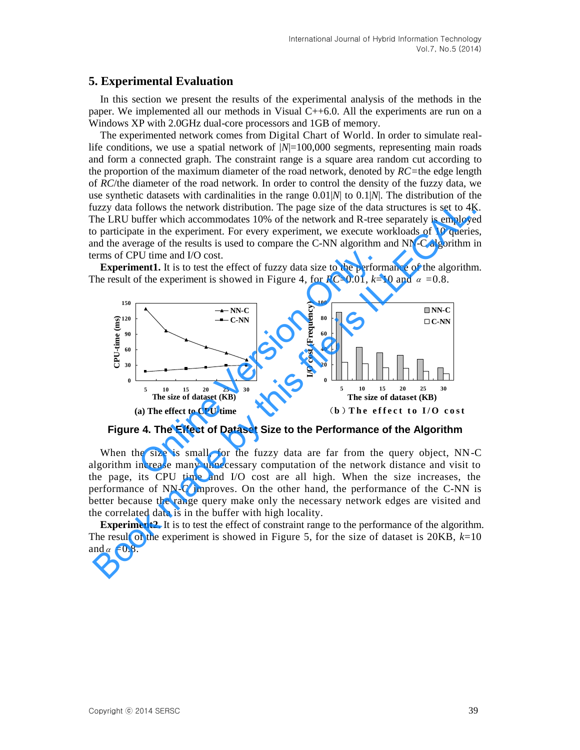## **5. Experimental Evaluation**

In this section we present the results of the experimental analysis of the methods in the paper. We implemented all our methods in Visual C++6.0. All the experiments are run on a Windows XP with 2.0GHz dual-core processors and 1GB of memory.

The experimented network comes from Digital Chart of World. In order to simulate reallife conditions, we use a spatial network of  $|N|=100,000$  segments, representing main roads and form a connected graph. The constraint range is a square area random cut according to the proportion of the maximum diameter of the road network, denoted by *RC=*the edge length of *RC*/the diameter of the road network. In order to control the density of the fuzzy data, we use synthetic datasets with cardinalities in the range 0.01|*N*| to 0.1|*N*|. The distribution of the fuzzy data follows the network distribution. The page size of the data structures is set to 4K. The LRU buffer which accommodates 10% of the network and R-tree separately is employed to participate in the experiment. For every experiment, we execute workloads of 10 queries, and the average of the results is used to compare the C-NN algorithm and NN-C algorithm in terms of CPU time and I/O cost.

**Experiment1.** It is to test the effect of fuzzy data size to the performance of the algorithm. The result of the experiment is showed in Figure 4, for  $RC=0.01$ ,  $k=10$  and  $\alpha =0.8$ .



**Figure 4. The Effect of Dataset Size to the Performance of the Algorithm** 

When the size is small, for the fuzzy data are far from the query object, NN-C algorithm increase many unnecessary computation of the network distance and visit to the page, its CPU time and I/O cost are all high. When the size increases, the performance of NN-C improves. On the other hand, the performance of the C-NN is better because the range query make only the necessary network edges are visited and the correlated data is in the buffer with high locality.

**Experiment2.** It is to test the effect of constraint range to the performance of the algorithm. The result of the experiment is showed in Figure 5, for the size of dataset is 20KB, *k*=10 and  $\alpha = 0.8$ .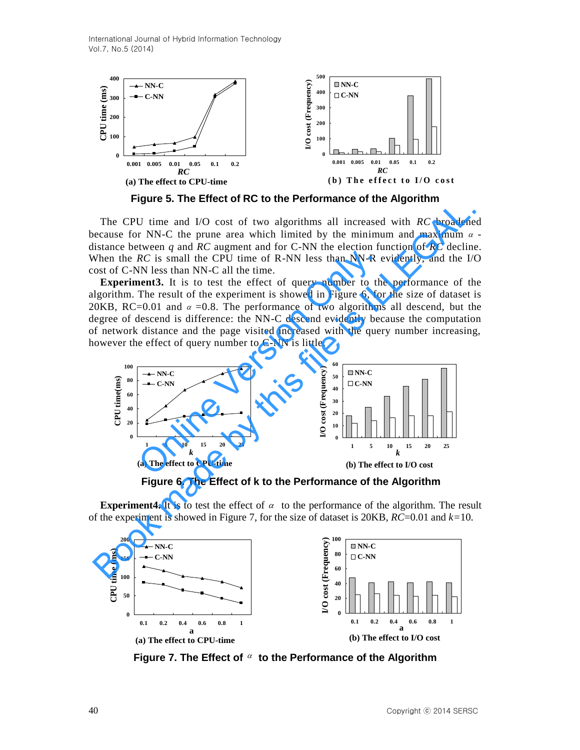International Journal of Hybrid Information Technology Vol.7, No.5 (2014)



**Figure 5. The Effect of RC to the Performance of the Algorithm** 

The CPU time and I/O cost of two algorithms all increased with *RC* broadened because for NN-C the prune area which limited by the minimum and maximum  $\alpha$ distance between *q* and *RC* augment and for C-NN the election function of *RC* decline. When the  $RC$  is small the CPU time of R-NN less than NN-R evidently, and the I/O cost of C-NN less than NN-C all the time.

**Experiment3.** It is to test the effect of query number to the performance of the algorithm. The result of the experiment is showed in Figure 6, for the size of dataset is 20KB, RC=0.01 and  $\alpha$  =0.8. The performance of two algorithms all descend, but the degree of descend is difference: the NN-C descend evidently because the computation of network distance and the page visited increased with the query number increasing, however the effect of query number to C-NN is little.



**Figure 6. The Effect of k to the Performance of the Algorithm** 

**Experiment4.** It is to test the effect of  $\alpha$  to the performance of the algorithm. The result of the experiment is showed in Figure 7, for the size of dataset is 20KB, *RC*=0.01 and *k=*10.



Figure 7. The Effect of  $\alpha$  to the Performance of the Algorithm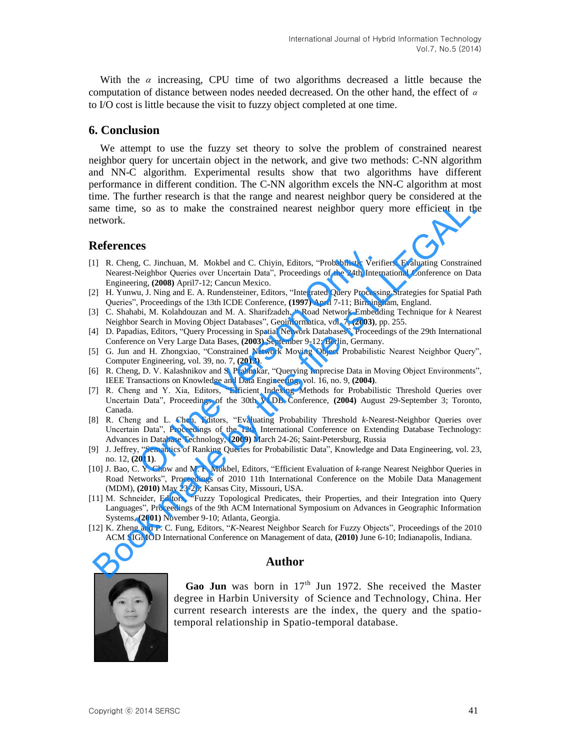With the  $\alpha$  increasing, CPU time of two algorithms decreased a little because the computation of distance between nodes needed decreased. On the other hand, the effect of  $\alpha$ to I/O cost is little because the visit to fuzzy object completed at one time.

## **6. Conclusion**

We attempt to use the fuzzy set theory to solve the problem of constrained nearest neighbor query for uncertain object in the network, and give two methods: C-NN algorithm and NN-C algorithm. Experimental results show that two algorithms have different performance in different condition. The C-NN algorithm excels the NN-C algorithm at most time. The further research is that the range and nearest neighbor query be considered at the same time, so as to make the constrained nearest neighbor query more efficient in the network.

## **References**

- [1] R. Cheng, C. Jinchuan, M. Mokbel and C. Chiyin, Editors, "Probabilistic Verifiers: Evaluating Constrained Nearest-Neighbor Queries over Uncertain Data", Proceedings of the 24th International Conference on Data Engineering, **(2008)** April7-12; Cancun Mexico. -<br>C. Unchuan, M. Mokbel and C. Chiyin, Editors, "Probabilistic Verif-<br>Neighbor Queries over Uncertain Data", Proceedings of the 24th Intern<br>Ing, (2008) April7-12; Cancun Mexico.<br>U. J. Ning and E. A. Rundensteiner, Editors, ame time, so as to make the constrained nearest neighbor query more efficient in the<br> **References**<br> **References**<br> **References**<br> **References**<br> **References**<br> **References**<br> **References**<br> **References**<br> **References**<br> **Reference**
- [2] H. Yunwu, J. Ning and E. A. Rundensteiner, Editors, "Integrated Query Processing Strategies for Spatial Path Queries", Proceedings of the 13th ICDE Conference, **(1997)** April 7-11; Birmingham, England.
- [3] C. Shahabi, M. Kolahdouzan and M. A. Sharifzadeh, " Road Network Embedding Technique for *k* Nearest Neighbor Search in Moving Object Databases", Geoinformatica, vol. 7, **(2003)**, pp. 255.
- [4] D. Papadias, Editors, "Query Processing in Spatial Network Databases", Proceedings of the 29th International Conference on Very Large Data Bases, **(2003)** September 9-12; Berlin, Germany.
- [5] G. Jun and H. Zhongxiao, "Constrained Network Moving Object Probabilistic Nearest Neighbor Query", Computer Engineering, vol. 39, no. 7, **(2013)**.
- [6] R. Cheng, D. V. Kalashnikov and S. Prabhakar, "Querying Imprecise Data in Moving Object Environments", IEEE Transactions on Knowledge and Data Engineering, vol. 16, no. 9, **(2004)**.
- [7] R. Cheng and Y. Xia, Editors, "Efficient Indexing Methods for Probabilistic Threshold Queries over Uncertain Data", Proceedings of the 30th VLDB Conference, **(2004)** August 29-September 3; Toronto, Canada.
- [8] R. Cheng and L. Chen, Editors, "Evaluating Probability Threshold *k*-Nearest-Neighbor Queries over Uncertain Data", Proceedings of the 12th International Conference on Extending Database Technology: Advances in Database Technology, **(2009)** March 24-26; Saint-Petersburg, Russia
- [9] J. Jeffrey, "Semantics of Ranking Queries for Probabilistic Data", Knowledge and Data Engineering, vol. 23, no. 12, **(2011)**.
- [10] J. Bao, C. Y. Chow and M. F. Mokbel, Editors, "Efficient Evaluation of *k-*range Nearest Neighbor Queries in Road Networks", Proceedings of 2010 11th International Conference on the Mobile Data Management (MDM), **(2010)** May 23-26; Kansas City, Missouri, USA.
- [11] M. Schneider, Editors, "Fuzzy Topological Predicates, their Properties, and their Integration into Query Languages", Proceedings of the 9th ACM International Symposium on Advances in Geographic Information Systems, **(2001)** November 9-10; Atlanta, Georgia.
- [12] K. Zheng and P. C. Fung, Editors, "*K*-Nearest Neighbor Search for Fuzzy Objects", Proceedings of the 2010 ACM SIGMOD International Conference on Management of data, **(2010)** June 6-10; Indianapolis, Indiana.

#### **Author**



Gao Jun was born in 17<sup>th</sup> Jun 1972. She received the Master degree in Harbin University of Science and Technology, China. Her current research interests are the index, the query and the spatiotemporal relationship in Spatio-temporal database.